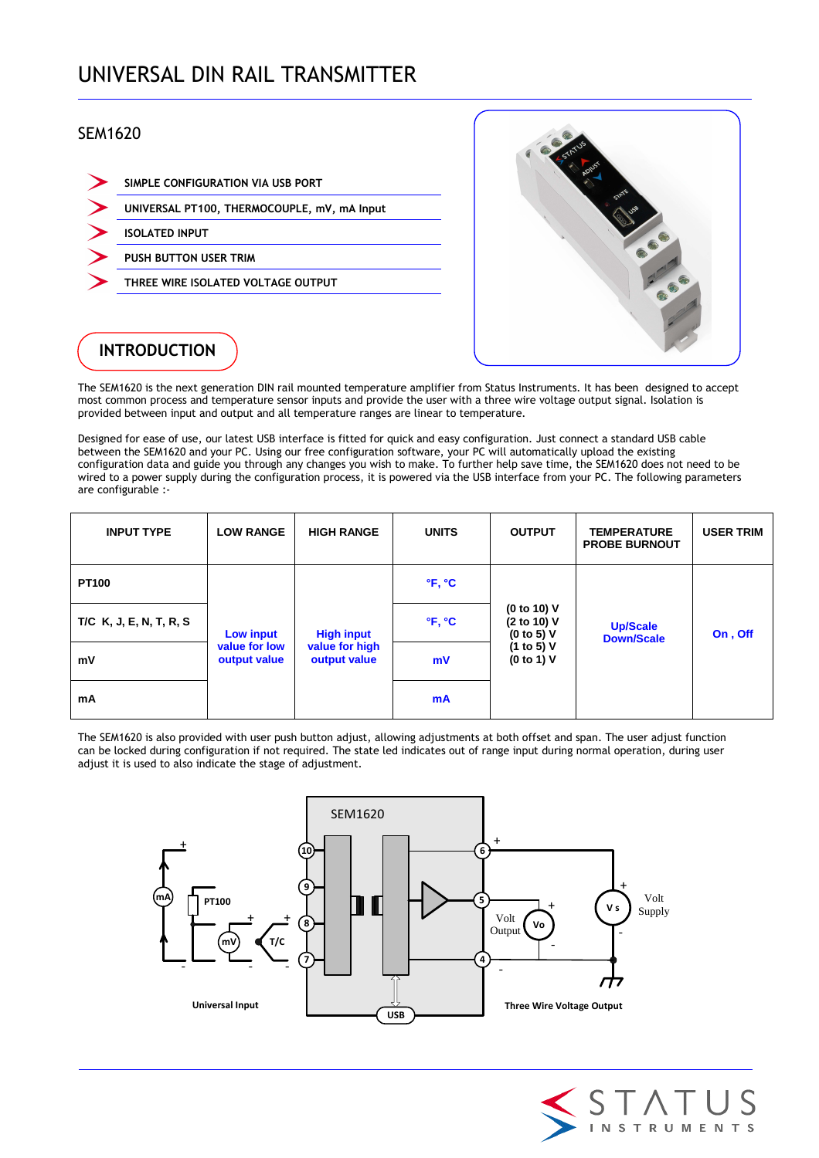# UNIVERSAL DIN RAIL TRANSMITTER

### SEM1620

| SIMPLE CONFIGURATION VIA USB PORT           |
|---------------------------------------------|
| UNIVERSAL PT100, THERMOCOUPLE, mV, mA Input |
| <b>ISOLATED INPUT</b>                       |
| <b>PUSH BUTTON USER TRIM</b>                |
| THREE WIRE ISOLATED VOLTAGE OUTPUT          |
|                                             |



## **INTRODUCTION**

The SEM1620 is the next generation DIN rail mounted temperature amplifier from Status Instruments. It has been designed to accept most common process and temperature sensor inputs and provide the user with a three wire voltage output signal. Isolation is provided between input and output and all temperature ranges are linear to temperature.

Designed for ease of use, our latest USB interface is fitted for quick and easy configuration. Just connect a standard USB cable between the SEM1620 and your PC. Using our free configuration software, your PC will automatically upload the existing configuration data and guide you through any changes you wish to make. To further help save time, the SEM1620 does not need to be wired to a power supply during the configuration process, it is powered via the USB interface from your PC. The following parameters are configurable :-

| <b>INPUT TYPE</b>       | <b>LOW RANGE</b>              | <b>HIGH RANGE</b>                                   | <b>UNITS</b>                | <b>OUTPUT</b>                            | <b>TEMPERATURE</b><br><b>PROBE BURNOUT</b> | <b>USER TRIM</b> |
|-------------------------|-------------------------------|-----------------------------------------------------|-----------------------------|------------------------------------------|--------------------------------------------|------------------|
| <b>PT100</b>            |                               | <b>High input</b><br>value for high<br>output value | $\mathbf{P}$ , $\mathbf{C}$ |                                          | <b>Up/Scale</b><br><b>Down/Scale</b>       | On, Off          |
| T/C K, J, E, N, T, R, S | Low input                     |                                                     | $\mathbf{P}$ , $\mathbf{C}$ | (0 to 10) V<br>(2 to 10) V<br>(0 to 5) V |                                            |                  |
| mV                      | value for low<br>output value |                                                     | mV                          | (1 to 5) V<br>(0 to 1) V                 |                                            |                  |
| mA                      |                               |                                                     | mA                          |                                          |                                            |                  |

The SEM1620 is also provided with user push button adjust, allowing adjustments at both offset and span. The user adjust function can be locked during configuration if not required. The state led indicates out of range input during normal operation, during user adjust it is used to also indicate the stage of adjustment.